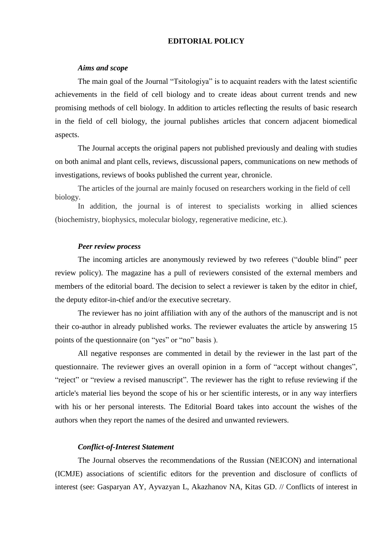# **EDITORIAL POLICY**

#### *Aims and scope*

The main goal of the Journal "Tsitologiya" is to acquaint readers with the latest scientific achievements in the field of cell biology and to create ideas about current trends and new promising methods of cell biology. In addition to articles reflecting the results of basic research in the field of cell biology, the journal publishes articles that concern adjacent biomedical aspects.

The Journal accepts the original papers not published previously and dealing with studies on both animal and plant cells, reviews, discussional papers, communications on new methods of investigations, reviews of books published the current year, chronicle.

The articles of the journal are mainly focused on researchers working in the field of cell biology.

In addition, the journal is of interest to specialists working in [allied](https://www.multitran.ru/c/m.exe?&s=allied&l1=1&l2=2) [sciences](https://www.multitran.ru/c/m.exe?&s=sciences&l1=1&l2=2) (biochemistry, biophysics, molecular biology, regenerative medicine, etc.).

## *Peer review process*

The incoming articles are anonymously reviewed by two referees ("double blind" peer review policy). The magazine has a pull of reviewers consisted of the external members and members of the editorial board. The decision to select a reviewer is taken by the editor in chief, the deputy editor-in-chief and/or the executive secretary.

The reviewer has no joint affiliation with any of the authors of the manuscript and is not their co-author in already published works. The reviewer evaluates the article by answering 15 points of the questionnaire (on "yes" or "no" basis ).

All negative responses are commented in detail by the reviewer in the last part of the questionnaire. The reviewer gives an overall opinion in a form of "accept without changes", "reject" or "review a revised manuscript". The reviewer has the right to refuse reviewing if the article's material lies beyond the scope of his or her scientific interests, or in any way interfiers with his or her personal interests. The Editorial Board takes into account the wishes of the authors when they report the names of the desired and unwanted reviewers.

#### *Conflict-of-Interest Statement*

The Journal observes the recommendations of the Russian (NEICON) and international (ICMJE) associations of scientific editors for the prevention and disclosure of conflicts of interest (see: Gasparyan AY, Ayvazyan L, Akazhanov NA, Kitas GD. // Conflicts of interest in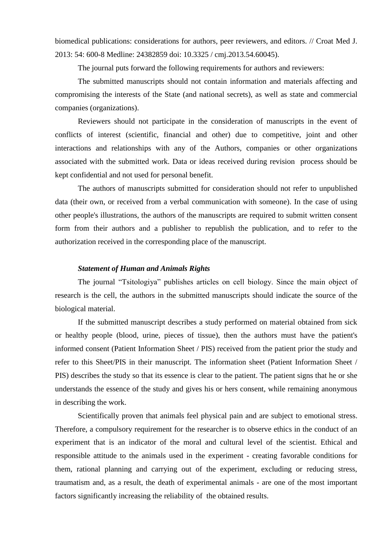biomedical publications: considerations for authors, peer reviewers, and editors. // Croat Med J. 2013: 54: 600-8 Medline: 24382859 doi: 10.3325 / cmj.2013.54.60045).

The journal puts forward the following requirements for authors and reviewers:

The submitted manuscripts should not contain information and materials affecting and compromising the interests of the State (and national secrets), as well as state and commercial companies (organizations).

Reviewers should not participate in the consideration of manuscripts in the event of conflicts of interest (scientific, financial and other) due to competitive, joint and other interactions and relationships with any of the Authors, companies or other organizations associated with the submitted work. Data or ideas received during revision process should be kept confidential and not used for personal benefit.

The authors of manuscripts submitted for consideration should not refer to unpublished data (their own, or received from a verbal communication with someone). In the case of using other people's illustrations, the authors of the manuscripts are required to submit written consent form from their authors and a publisher to republish the publication, and to refer to the authorization received in the corresponding place of the manuscript.

## *Statement of Human and Animals Rights*

The journal "Tsitologiya" publishes articles on cell biology. Since the main object of research is the cell, the authors in the submitted manuscripts should indicate the source of the biological material.

If the submitted manuscript describes a study performed on material obtained from sick or healthy people (blood, urine, pieces of tissue), then the authors must have the patient's informed consent (Patient Information Sheet / PIS) received from the patient prior the study and refer to this Sheet/PIS in their manuscript. The information sheet (Patient Information Sheet / PIS) describes the study so that its essence is clear to the patient. The patient signs that he or she understands the essence of the study and gives his or hers consent, while remaining anonymous in describing the work.

Scientifically proven that animals feel physical pain and are subject to emotional stress. Therefore, a compulsory requirement for the researcher is to observe ethics in the conduct of an experiment that is an indicator of the moral and cultural level of the scientist. Ethical and responsible attitude to the animals used in the experiment - creating favorable conditions for them, rational planning and carrying out of the experiment, excluding or reducing stress, traumatism and, as a result, the death of experimental animals - are one of the most important factors significantly increasing the reliability of the obtained results.